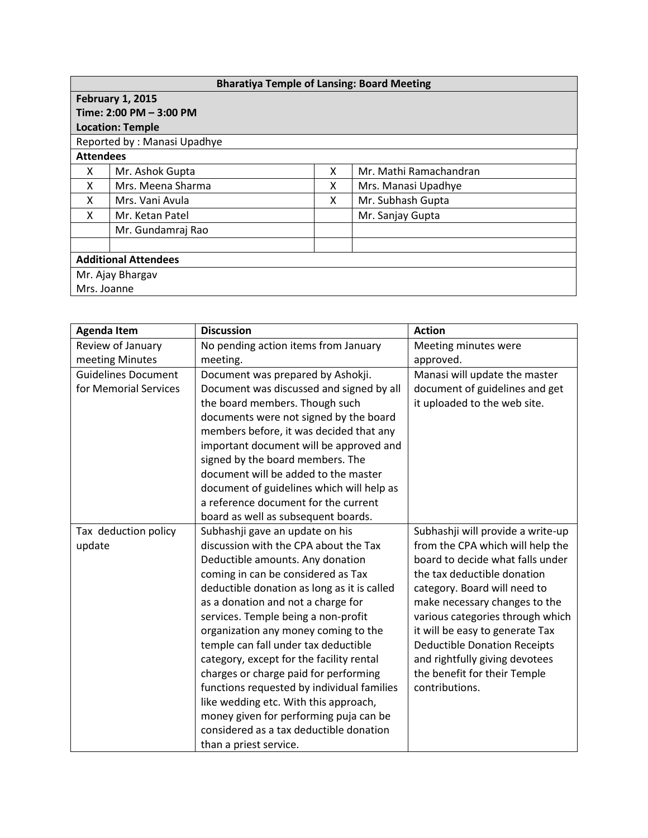| <b>Bharatiya Temple of Lansing: Board Meeting</b> |                   |   |                        |  |  |  |
|---------------------------------------------------|-------------------|---|------------------------|--|--|--|
| <b>February 1, 2015</b>                           |                   |   |                        |  |  |  |
| Time: 2:00 PM - 3:00 PM                           |                   |   |                        |  |  |  |
| <b>Location: Temple</b>                           |                   |   |                        |  |  |  |
| Reported by: Manasi Upadhye                       |                   |   |                        |  |  |  |
| <b>Attendees</b>                                  |                   |   |                        |  |  |  |
| x                                                 | Mr. Ashok Gupta   | x | Mr. Mathi Ramachandran |  |  |  |
| X                                                 | Mrs. Meena Sharma | x | Mrs. Manasi Upadhye    |  |  |  |
| X                                                 | Mrs. Vani Avula   | x | Mr. Subhash Gupta      |  |  |  |
| X                                                 | Mr. Ketan Patel   |   | Mr. Sanjay Gupta       |  |  |  |
|                                                   | Mr. Gundamraj Rao |   |                        |  |  |  |
|                                                   |                   |   |                        |  |  |  |
| <b>Additional Attendees</b>                       |                   |   |                        |  |  |  |
| Mr. Ajay Bhargav                                  |                   |   |                        |  |  |  |
| Mrs. Joanne                                       |                   |   |                        |  |  |  |

| <b>Agenda Item</b>         | <b>Discussion</b>                           | <b>Action</b>                       |  |
|----------------------------|---------------------------------------------|-------------------------------------|--|
| Review of January          | No pending action items from January        | Meeting minutes were                |  |
| meeting Minutes            | meeting.                                    | approved.                           |  |
| <b>Guidelines Document</b> | Document was prepared by Ashokji.           | Manasi will update the master       |  |
| for Memorial Services      | Document was discussed and signed by all    | document of guidelines and get      |  |
|                            | the board members. Though such              | it uploaded to the web site.        |  |
|                            | documents were not signed by the board      |                                     |  |
|                            | members before, it was decided that any     |                                     |  |
|                            | important document will be approved and     |                                     |  |
|                            | signed by the board members. The            |                                     |  |
|                            | document will be added to the master        |                                     |  |
|                            | document of guidelines which will help as   |                                     |  |
|                            | a reference document for the current        |                                     |  |
|                            | board as well as subsequent boards.         |                                     |  |
| Tax deduction policy       | Subhashji gave an update on his             | Subhashji will provide a write-up   |  |
| update                     | discussion with the CPA about the Tax       | from the CPA which will help the    |  |
|                            | Deductible amounts. Any donation            | board to decide what falls under    |  |
|                            | coming in can be considered as Tax          | the tax deductible donation         |  |
|                            | deductible donation as long as it is called | category. Board will need to        |  |
|                            | as a donation and not a charge for          | make necessary changes to the       |  |
|                            | services. Temple being a non-profit         | various categories through which    |  |
|                            | organization any money coming to the        | it will be easy to generate Tax     |  |
|                            | temple can fall under tax deductible        | <b>Deductible Donation Receipts</b> |  |
|                            | category, except for the facility rental    | and rightfully giving devotees      |  |
|                            | charges or charge paid for performing       | the benefit for their Temple        |  |
|                            | functions requested by individual families  | contributions.                      |  |
|                            | like wedding etc. With this approach,       |                                     |  |
|                            | money given for performing puja can be      |                                     |  |
|                            | considered as a tax deductible donation     |                                     |  |
|                            | than a priest service.                      |                                     |  |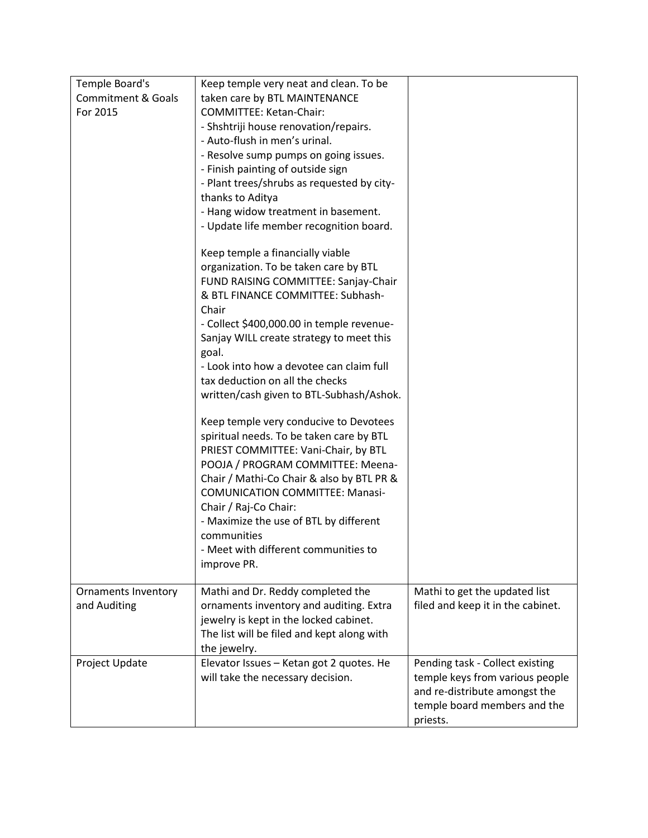| Temple Board's                | Keep temple very neat and clean. To be     |                                   |
|-------------------------------|--------------------------------------------|-----------------------------------|
| <b>Commitment &amp; Goals</b> | taken care by BTL MAINTENANCE              |                                   |
| For 2015                      | COMMITTEE: Ketan-Chair:                    |                                   |
|                               | - Shshtriji house renovation/repairs.      |                                   |
|                               | - Auto-flush in men's urinal.              |                                   |
|                               | - Resolve sump pumps on going issues.      |                                   |
|                               | - Finish painting of outside sign          |                                   |
|                               | - Plant trees/shrubs as requested by city- |                                   |
|                               | thanks to Aditya                           |                                   |
|                               | - Hang widow treatment in basement.        |                                   |
|                               | - Update life member recognition board.    |                                   |
|                               | Keep temple a financially viable           |                                   |
|                               | organization. To be taken care by BTL      |                                   |
|                               | FUND RAISING COMMITTEE: Sanjay-Chair       |                                   |
|                               | & BTL FINANCE COMMITTEE: Subhash-          |                                   |
|                               | Chair                                      |                                   |
|                               | - Collect \$400,000.00 in temple revenue-  |                                   |
|                               | Sanjay WILL create strategy to meet this   |                                   |
|                               | goal.                                      |                                   |
|                               | - Look into how a devotee can claim full   |                                   |
|                               | tax deduction on all the checks            |                                   |
|                               | written/cash given to BTL-Subhash/Ashok.   |                                   |
|                               | Keep temple very conducive to Devotees     |                                   |
|                               | spiritual needs. To be taken care by BTL   |                                   |
|                               | PRIEST COMMITTEE: Vani-Chair, by BTL       |                                   |
|                               | POOJA / PROGRAM COMMITTEE: Meena-          |                                   |
|                               | Chair / Mathi-Co Chair & also by BTL PR &  |                                   |
|                               | <b>COMUNICATION COMMITTEE: Manasi-</b>     |                                   |
|                               | Chair / Raj-Co Chair:                      |                                   |
|                               | - Maximize the use of BTL by different     |                                   |
|                               | communities                                |                                   |
|                               | - Meet with different communities to       |                                   |
|                               | improve PR.                                |                                   |
| <b>Ornaments Inventory</b>    | Mathi and Dr. Reddy completed the          | Mathi to get the updated list     |
| and Auditing                  | ornaments inventory and auditing. Extra    | filed and keep it in the cabinet. |
|                               | jewelry is kept in the locked cabinet.     |                                   |
|                               | The list will be filed and kept along with |                                   |
|                               | the jewelry.                               |                                   |
| Project Update                | Elevator Issues - Ketan got 2 quotes. He   | Pending task - Collect existing   |
|                               | will take the necessary decision.          | temple keys from various people   |
|                               |                                            | and re-distribute amongst the     |
|                               |                                            | temple board members and the      |
|                               |                                            | priests.                          |